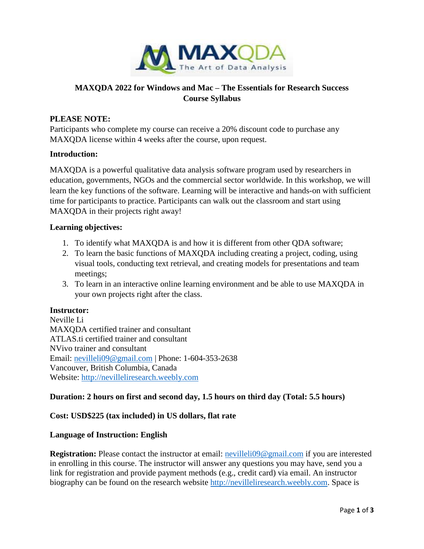

# **MAXQDA 2022 for Windows and Mac – The Essentials for Research Success Course Syllabus**

# **PLEASE NOTE:**

Participants who complete my course can receive a 20% discount code to purchase any MAXQDA license within 4 weeks after the course, upon request.

### **Introduction:**

MAXQDA is a powerful qualitative data analysis software program used by researchers in education, governments, NGOs and the commercial sector worldwide. In this workshop, we will learn the key functions of the software. Learning will be interactive and hands-on with sufficient time for participants to practice. Participants can walk out the classroom and start using MAXQDA in their projects right away!

#### **Learning objectives:**

- 1. To identify what MAXQDA is and how it is different from other QDA software;
- 2. To learn the basic functions of MAXQDA including creating a project, coding, using visual tools, conducting text retrieval, and creating models for presentations and team meetings;
- 3. To learn in an interactive online learning environment and be able to use MAXQDA in your own projects right after the class.

## **Instructor:**

Neville Li MAXQDA certified trainer and consultant ATLAS.ti certified trainer and consultant NVivo trainer and consultant Email: [nevilleli09@gmail.com](mailto:nevilleli09@gmail.com) | Phone: 1-604-353-2638 Vancouver, British Columbia, Canada Website: [http://nevilleliresearch.weebly.com](http://nevilleliresearch.weebly.com/)

### **Duration: 2 hours on first and second day, 1.5 hours on third day (Total: 5.5 hours)**

### **Cost: USD\$225 (tax included) in US dollars, flat rate**

#### **Language of Instruction: English**

**Registration:** Please contact the instructor at email: [nevilleli09@gmail.com](mailto:nevilleli09@gmail.com) if you are interested in enrolling in this course. The instructor will answer any questions you may have, send you a link for registration and provide payment methods (e.g., credit card) via email. An instructor biography can be found on the research website [http://nevilleliresearch.weebly.com.](http://nevilleliresearch.weebly.com/) Space is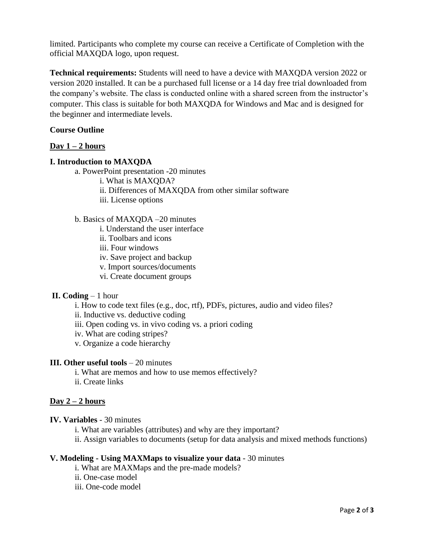limited. Participants who complete my course can receive a Certificate of Completion with the official MAXQDA logo, upon request.

**Technical requirements:** Students will need to have a device with MAXQDA version 2022 or version 2020 installed. It can be a purchased full license or a 14 day free trial downloaded from the company's website. The class is conducted online with a shared screen from the instructor's computer. This class is suitable for both MAXQDA for Windows and Mac and is designed for the beginner and intermediate levels.

# **Course Outline**

# **Day 1 – 2 hours**

### **I. Introduction to MAXQDA**

a. PowerPoint presentation -20 minutes

- i. What is MAXQDA?
- ii. Differences of MAXQDA from other similar software
- iii. License options
- b. Basics of MAXQDA –20 minutes
	- i. Understand the user interface
	- ii. Toolbars and icons
	- iii. Four windows
	- iv. Save project and backup
	- v. Import sources/documents
	- vi. Create document groups

### **II. Coding** – 1 hour

- i. How to code text files (e.g., doc, rtf), PDFs, pictures, audio and video files?
- ii. Inductive vs. deductive coding
- iii. Open coding vs. in vivo coding vs. a priori coding
- iv. What are coding stripes?
- v. Organize a code hierarchy

#### **III. Other useful tools – 20 minutes**

- i. What are memos and how to use memos effectively?
- ii. Create links

### **Day 2 – 2 hours**

#### **IV. Variables** - 30 minutes

- i. What are variables (attributes) and why are they important?
- ii. Assign variables to documents (setup for data analysis and mixed methods functions)

#### **V. Modeling - Using MAXMaps to visualize your data** - 30 minutes

- i. What are MAXMaps and the pre-made models?
- ii. One-case model
- iii. One-code model